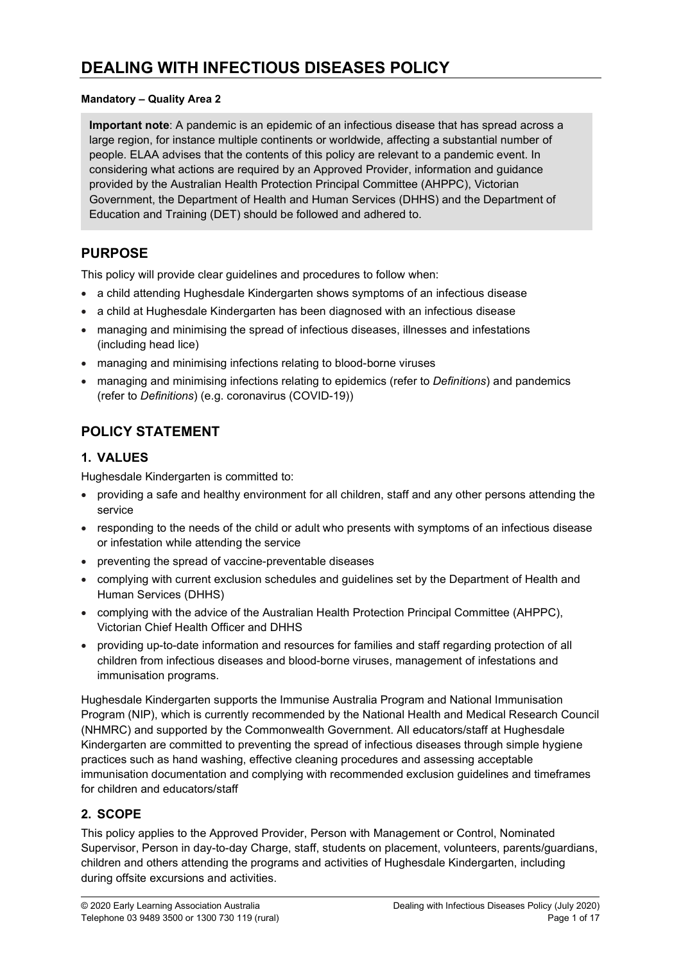#### Mandatory – Quality Area 2

Important note: A pandemic is an epidemic of an infectious disease that has spread across a large region, for instance multiple continents or worldwide, affecting a substantial number of people. ELAA advises that the contents of this policy are relevant to a pandemic event. In considering what actions are required by an Approved Provider, information and guidance provided by the Australian Health Protection Principal Committee (AHPPC), Victorian Government, the Department of Health and Human Services (DHHS) and the Department of Education and Training (DET) should be followed and adhered to.

## PURPOSE

This policy will provide clear guidelines and procedures to follow when:

- a child attending Hughesdale Kindergarten shows symptoms of an infectious disease
- a child at Hughesdale Kindergarten has been diagnosed with an infectious disease
- managing and minimising the spread of infectious diseases, illnesses and infestations (including head lice)
- managing and minimising infections relating to blood-borne viruses
- managing and minimising infections relating to epidemics (refer to Definitions) and pandemics (refer to Definitions) (e.g. coronavirus (COVID-19))

## POLICY STATEMENT

### 1. VALUES

Hughesdale Kindergarten is committed to:

- providing a safe and healthy environment for all children, staff and any other persons attending the service
- responding to the needs of the child or adult who presents with symptoms of an infectious disease or infestation while attending the service
- preventing the spread of vaccine-preventable diseases
- complying with current exclusion schedules and guidelines set by the Department of Health and Human Services (DHHS)
- complying with the advice of the Australian Health Protection Principal Committee (AHPPC), Victorian Chief Health Officer and DHHS
- providing up-to-date information and resources for families and staff regarding protection of all children from infectious diseases and blood-borne viruses, management of infestations and immunisation programs.

Hughesdale Kindergarten supports the Immunise Australia Program and National Immunisation Program (NIP), which is currently recommended by the National Health and Medical Research Council (NHMRC) and supported by the Commonwealth Government. All educators/staff at Hughesdale Kindergarten are committed to preventing the spread of infectious diseases through simple hygiene practices such as hand washing, effective cleaning procedures and assessing acceptable immunisation documentation and complying with recommended exclusion guidelines and timeframes for children and educators/staff

### 2. SCOPE

This policy applies to the Approved Provider, Person with Management or Control, Nominated Supervisor, Person in day-to-day Charge, staff, students on placement, volunteers, parents/guardians, children and others attending the programs and activities of Hughesdale Kindergarten, including during offsite excursions and activities.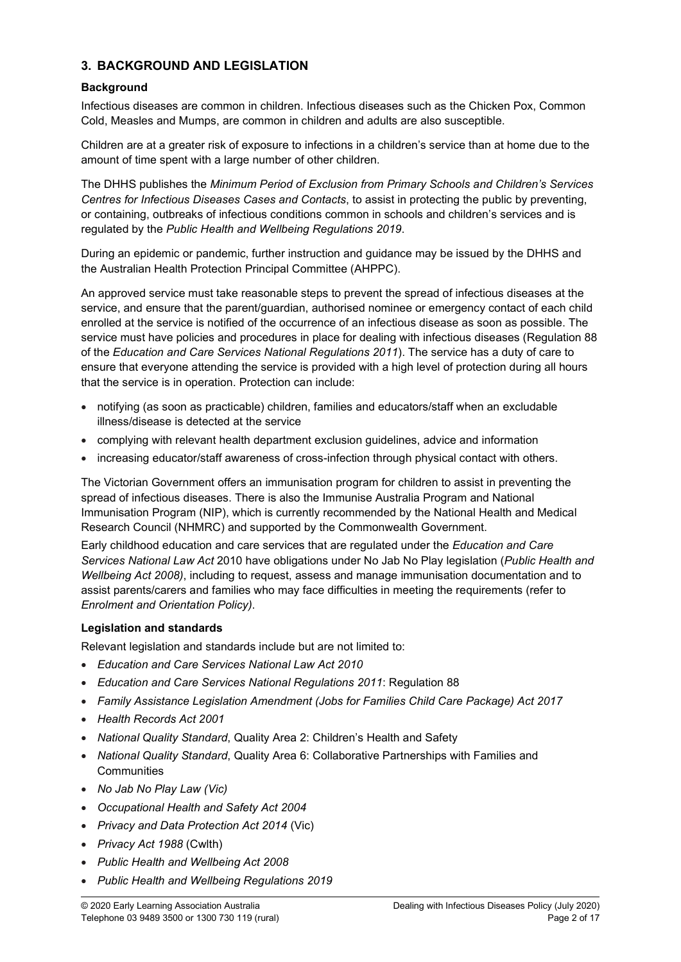### 3. BACKGROUND AND LEGISLATION

### **Background**

Infectious diseases are common in children. Infectious diseases such as the Chicken Pox, Common Cold, Measles and Mumps, are common in children and adults are also susceptible.

Children are at a greater risk of exposure to infections in a children's service than at home due to the amount of time spent with a large number of other children.

The DHHS publishes the Minimum Period of Exclusion from Primary Schools and Children's Services Centres for Infectious Diseases Cases and Contacts, to assist in protecting the public by preventing, or containing, outbreaks of infectious conditions common in schools and children's services and is regulated by the Public Health and Wellbeing Regulations 2019.

During an epidemic or pandemic, further instruction and guidance may be issued by the DHHS and the Australian Health Protection Principal Committee (AHPPC).

An approved service must take reasonable steps to prevent the spread of infectious diseases at the service, and ensure that the parent/guardian, authorised nominee or emergency contact of each child enrolled at the service is notified of the occurrence of an infectious disease as soon as possible. The service must have policies and procedures in place for dealing with infectious diseases (Regulation 88 of the Education and Care Services National Regulations 2011). The service has a duty of care to ensure that everyone attending the service is provided with a high level of protection during all hours that the service is in operation. Protection can include:

- notifying (as soon as practicable) children, families and educators/staff when an excludable illness/disease is detected at the service
- complying with relevant health department exclusion guidelines, advice and information
- increasing educator/staff awareness of cross-infection through physical contact with others.

The Victorian Government offers an immunisation program for children to assist in preventing the spread of infectious diseases. There is also the Immunise Australia Program and National Immunisation Program (NIP), which is currently recommended by the National Health and Medical Research Council (NHMRC) and supported by the Commonwealth Government.

Early childhood education and care services that are regulated under the Education and Care Services National Law Act 2010 have obligations under No Jab No Play legislation (Public Health and Wellbeing Act 2008), including to request, assess and manage immunisation documentation and to assist parents/carers and families who may face difficulties in meeting the requirements (refer to Enrolment and Orientation Policy).

#### Legislation and standards

Relevant legislation and standards include but are not limited to:

- Education and Care Services National Law Act 2010
- Education and Care Services National Regulations 2011: Regulation 88
- Family Assistance Legislation Amendment (Jobs for Families Child Care Package) Act 2017
- Health Records Act 2001
- National Quality Standard, Quality Area 2: Children's Health and Safety
- National Quality Standard, Quality Area 6: Collaborative Partnerships with Families and **Communities**
- No Jab No Play Law (Vic)
- Occupational Health and Safety Act 2004
- Privacy and Data Protection Act 2014 (Vic)
- Privacy Act 1988 (Cwlth)
- Public Health and Wellbeing Act 2008
- Public Health and Wellbeing Regulations 2019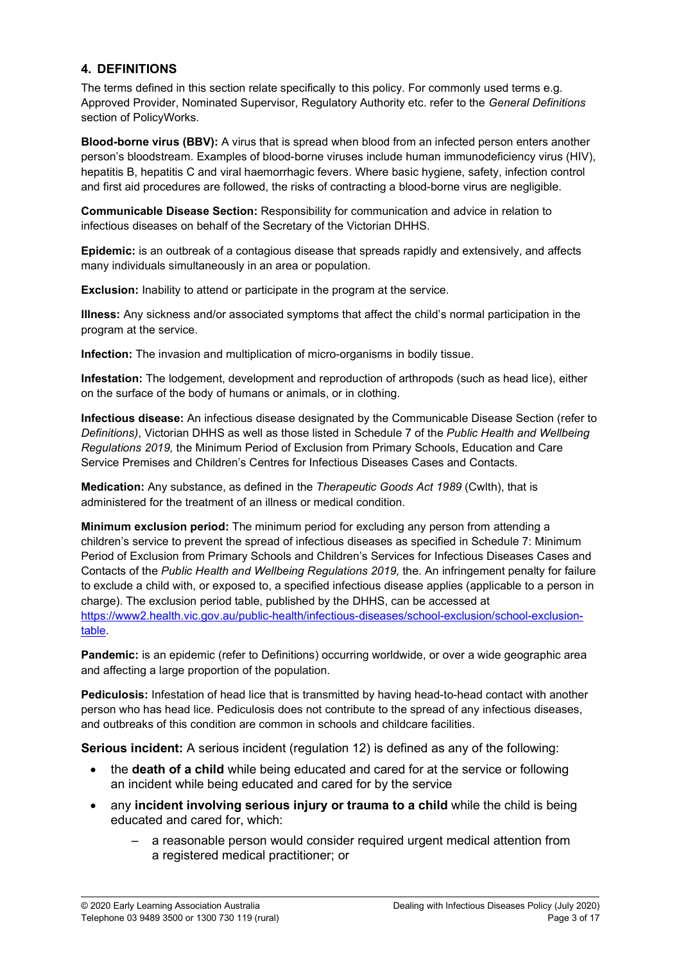### 4. DEFINITIONS

The terms defined in this section relate specifically to this policy. For commonly used terms e.g. Approved Provider, Nominated Supervisor, Regulatory Authority etc. refer to the General Definitions section of PolicyWorks.

Blood-borne virus (BBV): A virus that is spread when blood from an infected person enters another person's bloodstream. Examples of blood-borne viruses include human immunodeficiency virus (HIV), hepatitis B, hepatitis C and viral haemorrhagic fevers. Where basic hygiene, safety, infection control and first aid procedures are followed, the risks of contracting a blood-borne virus are negligible.

Communicable Disease Section: Responsibility for communication and advice in relation to infectious diseases on behalf of the Secretary of the Victorian DHHS.

Epidemic: is an outbreak of a contagious disease that spreads rapidly and extensively, and affects many individuals simultaneously in an area or population.

Exclusion: Inability to attend or participate in the program at the service.

Illness: Any sickness and/or associated symptoms that affect the child's normal participation in the program at the service.

Infection: The invasion and multiplication of micro-organisms in bodily tissue.

Infestation: The lodgement, development and reproduction of arthropods (such as head lice), either on the surface of the body of humans or animals, or in clothing.

Infectious disease: An infectious disease designated by the Communicable Disease Section (refer to Definitions), Victorian DHHS as well as those listed in Schedule 7 of the Public Health and Wellbeing Regulations 2019, the Minimum Period of Exclusion from Primary Schools, Education and Care Service Premises and Children's Centres for Infectious Diseases Cases and Contacts.

Medication: Any substance, as defined in the Therapeutic Goods Act 1989 (Cwlth), that is administered for the treatment of an illness or medical condition.

Minimum exclusion period: The minimum period for excluding any person from attending a children's service to prevent the spread of infectious diseases as specified in Schedule 7: Minimum Period of Exclusion from Primary Schools and Children's Services for Infectious Diseases Cases and Contacts of the Public Health and Wellbeing Regulations 2019, the. An infringement penalty for failure to exclude a child with, or exposed to, a specified infectious disease applies (applicable to a person in charge). The exclusion period table, published by the DHHS, can be accessed at https://www2.health.vic.gov.au/public-health/infectious-diseases/school-exclusion/school-exclusiontable.

Pandemic: is an epidemic (refer to Definitions) occurring worldwide, or over a wide geographic area and affecting a large proportion of the population.

Pediculosis: Infestation of head lice that is transmitted by having head-to-head contact with another person who has head lice. Pediculosis does not contribute to the spread of any infectious diseases, and outbreaks of this condition are common in schools and childcare facilities.

Serious incident: A serious incident (regulation 12) is defined as any of the following:

- the death of a child while being educated and cared for at the service or following an incident while being educated and cared for by the service
- any incident involving serious injury or trauma to a child while the child is being educated and cared for, which:
	- a reasonable person would consider required urgent medical attention from a registered medical practitioner; or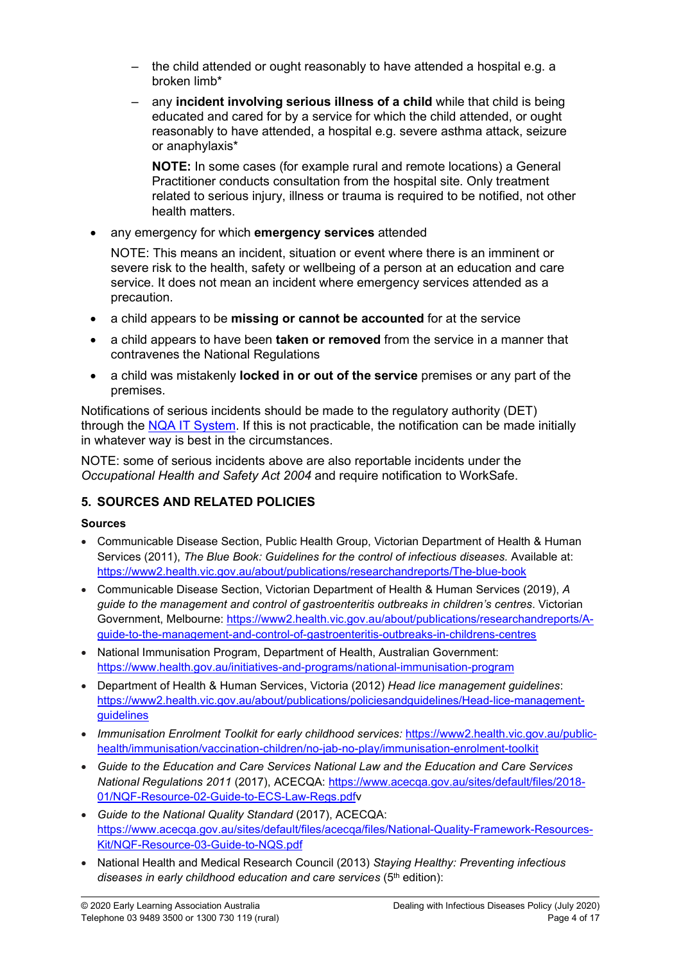- the child attended or ought reasonably to have attended a hospital e.g. a broken limb\*
- any incident involving serious illness of a child while that child is being educated and cared for by a service for which the child attended, or ought reasonably to have attended, a hospital e.g. severe asthma attack, seizure or anaphylaxis\*

NOTE: In some cases (for example rural and remote locations) a General Practitioner conducts consultation from the hospital site. Only treatment related to serious injury, illness or trauma is required to be notified, not other health matters.

any emergency for which emergency services attended

NOTE: This means an incident, situation or event where there is an imminent or severe risk to the health, safety or wellbeing of a person at an education and care service. It does not mean an incident where emergency services attended as a precaution.

- a child appears to be missing or cannot be accounted for at the service
- a child appears to have been **taken or removed** from the service in a manner that contravenes the National Regulations
- a child was mistakenly locked in or out of the service premises or any part of the premises.

Notifications of serious incidents should be made to the regulatory authority (DET) through the NQA IT System. If this is not practicable, the notification can be made initially in whatever way is best in the circumstances.

NOTE: some of serious incidents above are also reportable incidents under the Occupational Health and Safety Act 2004 and require notification to WorkSafe.

## 5. SOURCES AND RELATED POLICIES

## Sources

- Communicable Disease Section, Public Health Group, Victorian Department of Health & Human Services (2011), The Blue Book: Guidelines for the control of infectious diseases. Available at: https://www2.health.vic.gov.au/about/publications/researchandreports/The-blue-book
- Communicable Disease Section, Victorian Department of Health & Human Services (2019), A guide to the management and control of gastroenteritis outbreaks in children's centres. Victorian Government, Melbourne: https://www2.health.vic.gov.au/about/publications/researchandreports/Aguide-to-the-management-and-control-of-gastroenteritis-outbreaks-in-childrens-centres
- National Immunisation Program, Department of Health, Australian Government: https://www.health.gov.au/initiatives-and-programs/national-immunisation-program
- Department of Health & Human Services, Victoria (2012) Head lice management quidelines: https://www2.health.vic.gov.au/about/publications/policiesandguidelines/Head-lice-managementguidelines
- Immunisation Enrolment Toolkit for early childhood services: https://www2.health.vic.gov.au/publichealth/immunisation/vaccination-children/no-jab-no-play/immunisation-enrolment-toolkit
- Guide to the Education and Care Services National Law and the Education and Care Services National Regulations 2011 (2017), ACECQA: https://www.acecqa.gov.au/sites/default/files/2018- 01/NQF-Resource-02-Guide-to-ECS-Law-Regs.pdfv
- Guide to the National Quality Standard (2017), ACECQA: https://www.acecqa.gov.au/sites/default/files/acecqa/files/National-Quality-Framework-Resources-Kit/NQF-Resource-03-Guide-to-NQS.pdf
- National Health and Medical Research Council (2013) Staying Healthy: Preventing infectious diseases in early childhood education and care services  $(5<sup>th</sup>$  edition):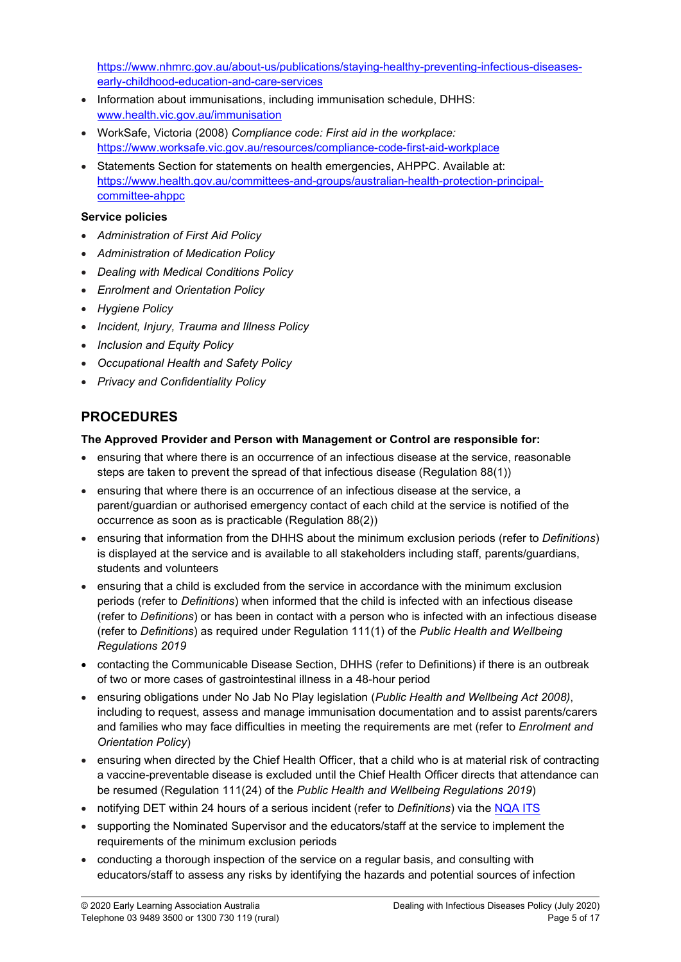https://www.nhmrc.gov.au/about-us/publications/staying-healthy-preventing-infectious-diseasesearly-childhood-education-and-care-services

- Information about immunisations, including immunisation schedule, DHHS: www.health.vic.gov.au/immunisation
- WorkSafe, Victoria (2008) Compliance code: First aid in the workplace: https://www.worksafe.vic.gov.au/resources/compliance-code-first-aid-workplace
- Statements Section for statements on health emergencies, AHPPC. Available at: https://www.health.gov.au/committees-and-groups/australian-health-protection-principalcommittee-ahppc

#### Service policies

- Administration of First Aid Policy
- Administration of Medication Policy
- Dealing with Medical Conditions Policy
- Enrolment and Orientation Policy
- Hygiene Policy
- Incident, Injury, Trauma and Illness Policy
- Inclusion and Equity Policy
- Occupational Health and Safety Policy
- Privacy and Confidentiality Policy

## PROCEDURES

#### The Approved Provider and Person with Management or Control are responsible for:

- ensuring that where there is an occurrence of an infectious disease at the service, reasonable steps are taken to prevent the spread of that infectious disease (Regulation 88(1))
- ensuring that where there is an occurrence of an infectious disease at the service, a parent/guardian or authorised emergency contact of each child at the service is notified of the occurrence as soon as is practicable (Regulation 88(2))
- ensuring that information from the DHHS about the minimum exclusion periods (refer to Definitions) is displayed at the service and is available to all stakeholders including staff, parents/guardians, students and volunteers
- ensuring that a child is excluded from the service in accordance with the minimum exclusion periods (refer to Definitions) when informed that the child is infected with an infectious disease (refer to Definitions) or has been in contact with a person who is infected with an infectious disease (refer to Definitions) as required under Regulation 111(1) of the Public Health and Wellbeing Regulations 2019
- contacting the Communicable Disease Section, DHHS (refer to Definitions) if there is an outbreak of two or more cases of gastrointestinal illness in a 48-hour period
- ensuring obligations under No Jab No Play legislation (Public Health and Wellbeing Act 2008), including to request, assess and manage immunisation documentation and to assist parents/carers and families who may face difficulties in meeting the requirements are met (refer to Enrolment and Orientation Policy)
- ensuring when directed by the Chief Health Officer, that a child who is at material risk of contracting a vaccine-preventable disease is excluded until the Chief Health Officer directs that attendance can be resumed (Regulation 111(24) of the Public Health and Wellbeing Regulations 2019)
- notifying DET within 24 hours of a serious incident (refer to Definitions) via the NQA ITS
- supporting the Nominated Supervisor and the educators/staff at the service to implement the requirements of the minimum exclusion periods
- conducting a thorough inspection of the service on a regular basis, and consulting with educators/staff to assess any risks by identifying the hazards and potential sources of infection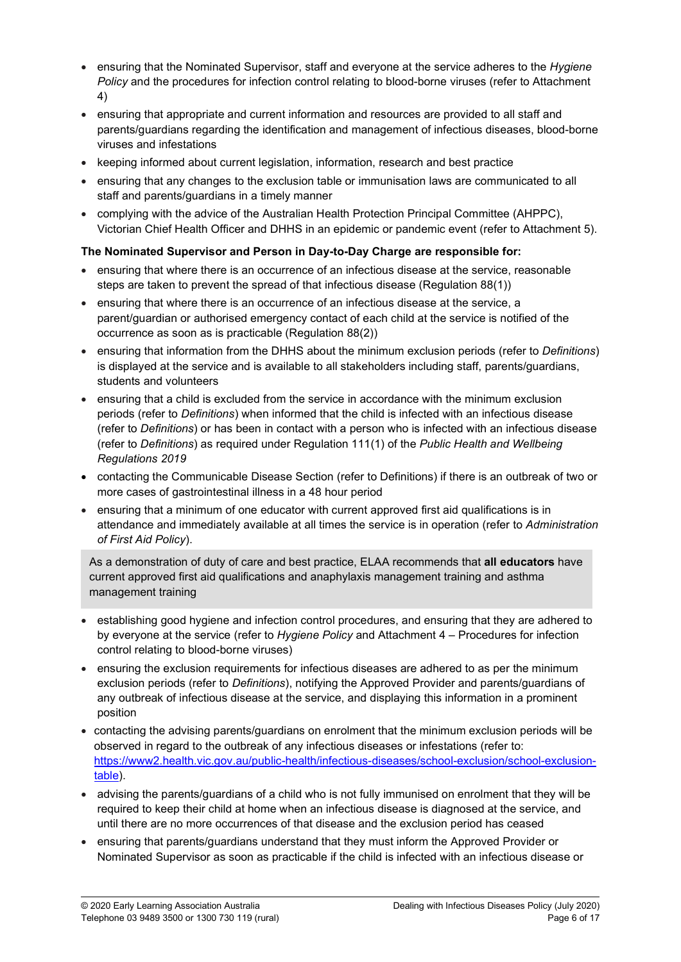- ensuring that the Nominated Supervisor, staff and everyone at the service adheres to the Hygiene Policy and the procedures for infection control relating to blood-borne viruses (refer to Attachment 4)
- ensuring that appropriate and current information and resources are provided to all staff and parents/guardians regarding the identification and management of infectious diseases, blood-borne viruses and infestations
- keeping informed about current legislation, information, research and best practice
- ensuring that any changes to the exclusion table or immunisation laws are communicated to all staff and parents/guardians in a timely manner
- complying with the advice of the Australian Health Protection Principal Committee (AHPPC), Victorian Chief Health Officer and DHHS in an epidemic or pandemic event (refer to Attachment 5).

#### The Nominated Supervisor and Person in Day-to-Day Charge are responsible for:

- ensuring that where there is an occurrence of an infectious disease at the service, reasonable steps are taken to prevent the spread of that infectious disease (Regulation 88(1))
- ensuring that where there is an occurrence of an infectious disease at the service, a parent/guardian or authorised emergency contact of each child at the service is notified of the occurrence as soon as is practicable (Regulation 88(2))
- ensuring that information from the DHHS about the minimum exclusion periods (refer to Definitions) is displayed at the service and is available to all stakeholders including staff, parents/guardians, students and volunteers
- ensuring that a child is excluded from the service in accordance with the minimum exclusion periods (refer to Definitions) when informed that the child is infected with an infectious disease (refer to Definitions) or has been in contact with a person who is infected with an infectious disease (refer to Definitions) as required under Regulation 111(1) of the Public Health and Wellbeing Regulations 2019
- contacting the Communicable Disease Section (refer to Definitions) if there is an outbreak of two or more cases of gastrointestinal illness in a 48 hour period
- ensuring that a minimum of one educator with current approved first aid qualifications is in attendance and immediately available at all times the service is in operation (refer to Administration of First Aid Policy).

As a demonstration of duty of care and best practice, ELAA recommends that all educators have current approved first aid qualifications and anaphylaxis management training and asthma management training

- establishing good hygiene and infection control procedures, and ensuring that they are adhered to by everyone at the service (refer to *Hygiene Policy* and Attachment 4 – Procedures for infection control relating to blood-borne viruses)
- ensuring the exclusion requirements for infectious diseases are adhered to as per the minimum exclusion periods (refer to Definitions), notifying the Approved Provider and parents/guardians of any outbreak of infectious disease at the service, and displaying this information in a prominent position
- contacting the advising parents/guardians on enrolment that the minimum exclusion periods will be observed in regard to the outbreak of any infectious diseases or infestations (refer to: https://www2.health.vic.gov.au/public-health/infectious-diseases/school-exclusion/school-exclusiontable).
- advising the parents/guardians of a child who is not fully immunised on enrolment that they will be required to keep their child at home when an infectious disease is diagnosed at the service, and until there are no more occurrences of that disease and the exclusion period has ceased
- ensuring that parents/guardians understand that they must inform the Approved Provider or Nominated Supervisor as soon as practicable if the child is infected with an infectious disease or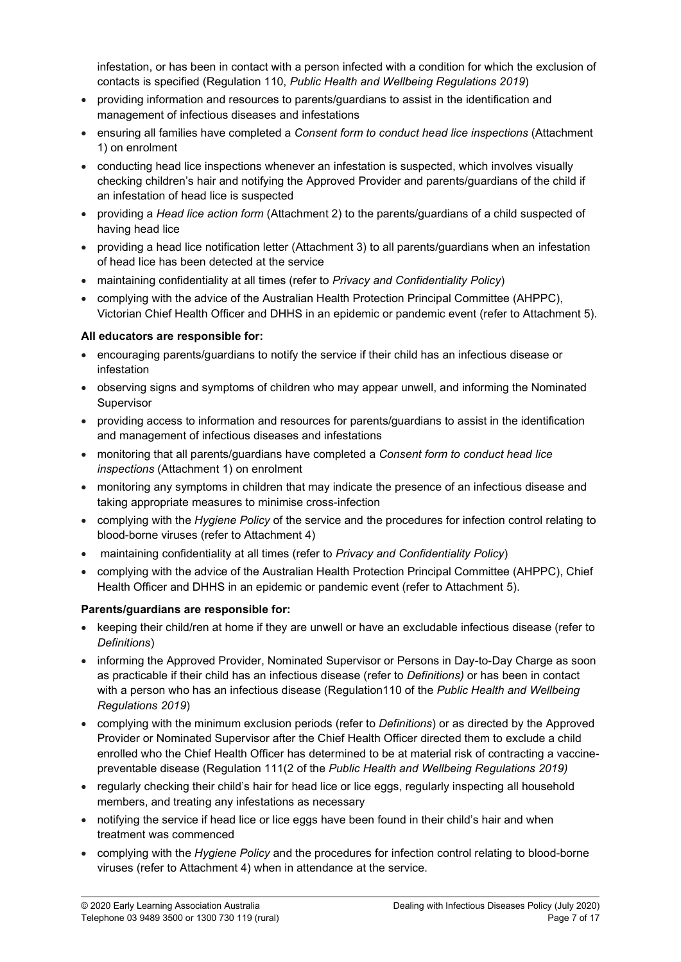infestation, or has been in contact with a person infected with a condition for which the exclusion of contacts is specified (Regulation 110, Public Health and Wellbeing Regulations 2019)

- providing information and resources to parents/guardians to assist in the identification and management of infectious diseases and infestations
- ensuring all families have completed a Consent form to conduct head lice inspections (Attachment 1) on enrolment
- conducting head lice inspections whenever an infestation is suspected, which involves visually checking children's hair and notifying the Approved Provider and parents/guardians of the child if an infestation of head lice is suspected
- providing a Head lice action form (Attachment 2) to the parents/guardians of a child suspected of having head lice
- providing a head lice notification letter (Attachment 3) to all parents/guardians when an infestation of head lice has been detected at the service
- maintaining confidentiality at all times (refer to Privacy and Confidentiality Policy)
- complying with the advice of the Australian Health Protection Principal Committee (AHPPC), Victorian Chief Health Officer and DHHS in an epidemic or pandemic event (refer to Attachment 5).

### All educators are responsible for:

- encouraging parents/guardians to notify the service if their child has an infectious disease or infestation
- observing signs and symptoms of children who may appear unwell, and informing the Nominated Supervisor
- providing access to information and resources for parents/guardians to assist in the identification and management of infectious diseases and infestations
- monitoring that all parents/guardians have completed a Consent form to conduct head lice inspections (Attachment 1) on enrolment
- monitoring any symptoms in children that may indicate the presence of an infectious disease and taking appropriate measures to minimise cross-infection
- complying with the Hygiene Policy of the service and the procedures for infection control relating to blood-borne viruses (refer to Attachment 4)
- maintaining confidentiality at all times (refer to Privacy and Confidentiality Policy)
- complying with the advice of the Australian Health Protection Principal Committee (AHPPC), Chief Health Officer and DHHS in an epidemic or pandemic event (refer to Attachment 5).

#### Parents/guardians are responsible for:

- keeping their child/ren at home if they are unwell or have an excludable infectious disease (refer to Definitions)
- informing the Approved Provider, Nominated Supervisor or Persons in Day-to-Day Charge as soon as practicable if their child has an infectious disease (refer to Definitions) or has been in contact with a person who has an infectious disease (Regulation110 of the Public Health and Wellbeing Regulations 2019)
- complying with the minimum exclusion periods (refer to *Definitions*) or as directed by the Approved Provider or Nominated Supervisor after the Chief Health Officer directed them to exclude a child enrolled who the Chief Health Officer has determined to be at material risk of contracting a vaccinepreventable disease (Regulation 111(2 of the Public Health and Wellbeing Regulations 2019)
- regularly checking their child's hair for head lice or lice eggs, regularly inspecting all household members, and treating any infestations as necessary
- notifying the service if head lice or lice eggs have been found in their child's hair and when treatment was commenced
- complying with the *Hygiene Policy* and the procedures for infection control relating to blood-borne viruses (refer to Attachment 4) when in attendance at the service.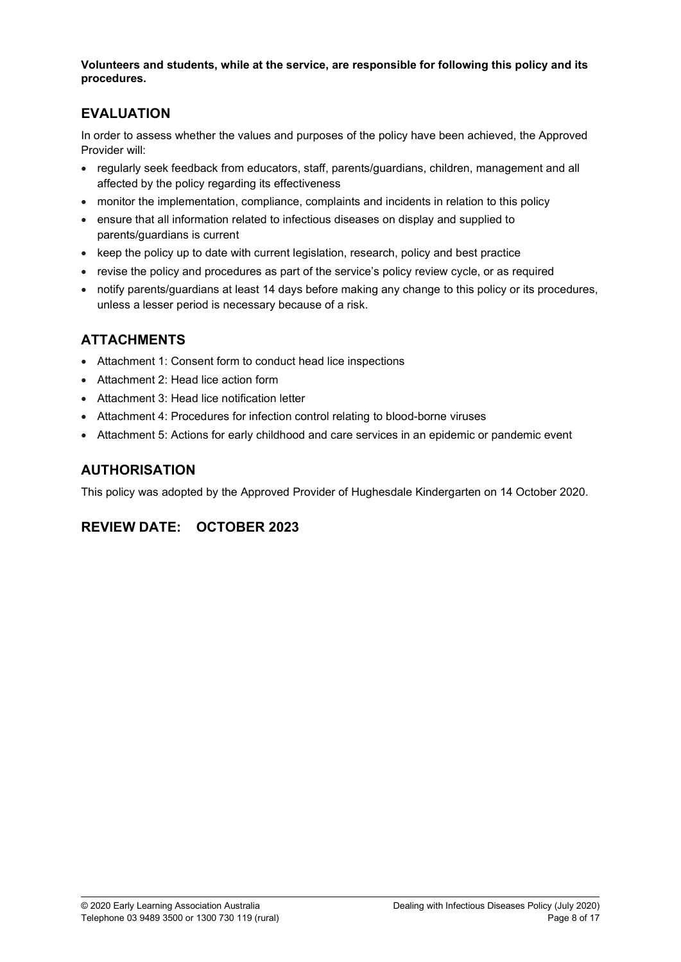Volunteers and students, while at the service, are responsible for following this policy and its procedures.

## EVALUATION

In order to assess whether the values and purposes of the policy have been achieved, the Approved Provider will:

- regularly seek feedback from educators, staff, parents/guardians, children, management and all affected by the policy regarding its effectiveness
- monitor the implementation, compliance, complaints and incidents in relation to this policy
- ensure that all information related to infectious diseases on display and supplied to parents/guardians is current
- keep the policy up to date with current legislation, research, policy and best practice
- revise the policy and procedures as part of the service's policy review cycle, or as required
- notify parents/guardians at least 14 days before making any change to this policy or its procedures, unless a lesser period is necessary because of a risk.

## ATTACHMENTS

- Attachment 1: Consent form to conduct head lice inspections
- Attachment 2: Head lice action form
- Attachment 3: Head lice notification letter
- Attachment 4: Procedures for infection control relating to blood-borne viruses
- Attachment 5: Actions for early childhood and care services in an epidemic or pandemic event

### AUTHORISATION

This policy was adopted by the Approved Provider of Hughesdale Kindergarten on 14 October 2020.

## REVIEW DATE: OCTOBER 2023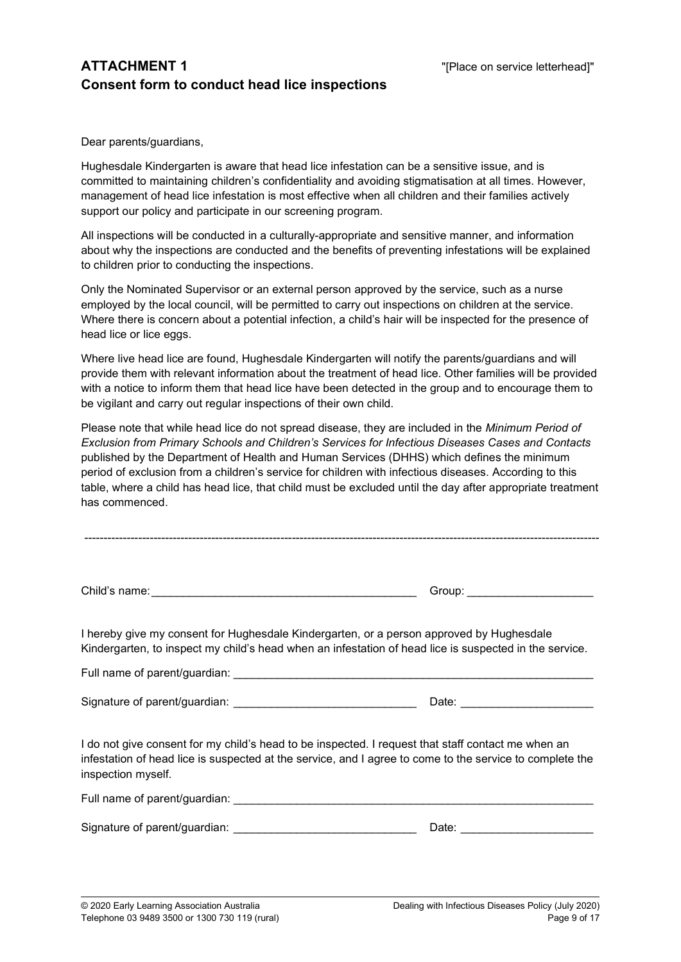## ATTACHMENT 1 THE STATE REPORT 1 THE STATE REPORT OF THE STATE REPORT OF THE STATE REPORT OF THE STATE REPORT OF THE STATE REPORT OF THE STATE REPORT OF THE STATE REPORT OF THE STATE REPORT OF THE STATE REPORT OF THE STATE Consent form to conduct head lice inspections

Dear parents/guardians,

Hughesdale Kindergarten is aware that head lice infestation can be a sensitive issue, and is committed to maintaining children's confidentiality and avoiding stigmatisation at all times. However, management of head lice infestation is most effective when all children and their families actively support our policy and participate in our screening program.

All inspections will be conducted in a culturally-appropriate and sensitive manner, and information about why the inspections are conducted and the benefits of preventing infestations will be explained to children prior to conducting the inspections.

Only the Nominated Supervisor or an external person approved by the service, such as a nurse employed by the local council, will be permitted to carry out inspections on children at the service. Where there is concern about a potential infection, a child's hair will be inspected for the presence of head lice or lice eggs.

Where live head lice are found, Hughesdale Kindergarten will notify the parents/guardians and will provide them with relevant information about the treatment of head lice. Other families will be provided with a notice to inform them that head lice have been detected in the group and to encourage them to be vigilant and carry out regular inspections of their own child.

Please note that while head lice do not spread disease, they are included in the Minimum Period of Exclusion from Primary Schools and Children's Services for Infectious Diseases Cases and Contacts published by the Department of Health and Human Services (DHHS) which defines the minimum period of exclusion from a children's service for children with infectious diseases. According to this table, where a child has head lice, that child must be excluded until the day after appropriate treatment has commenced.

Child's name: \_\_\_\_\_\_\_\_\_\_\_\_\_\_\_\_\_\_\_\_\_\_\_\_\_\_\_\_\_\_\_\_\_\_\_\_\_\_\_\_\_\_ Group: \_\_\_\_\_\_\_\_\_\_\_\_\_\_\_\_\_\_\_\_

I hereby give my consent for Hughesdale Kindergarten, or a person approved by Hughesdale Kindergarten, to inspect my child's head when an infestation of head lice is suspected in the service.

Full name of parent/guardian:

Signature of parent/guardian: \_\_\_\_\_\_\_\_\_\_\_\_\_\_\_\_\_\_\_\_\_\_\_\_\_\_\_\_\_ Date: \_\_\_\_\_\_\_\_\_\_\_\_\_\_\_\_\_\_\_\_\_

I do not give consent for my child's head to be inspected. I request that staff contact me when an infestation of head lice is suspected at the service, and I agree to come to the service to complete the inspection myself.

| Full name of parent/guardian: |  |  |
|-------------------------------|--|--|
|                               |  |  |

Signature of parent/guardian: \_\_\_\_\_\_\_\_\_\_\_\_\_\_\_\_\_\_\_\_\_\_\_\_\_\_\_\_\_ Date: \_\_\_\_\_\_\_\_\_\_\_\_\_\_\_\_\_\_\_\_\_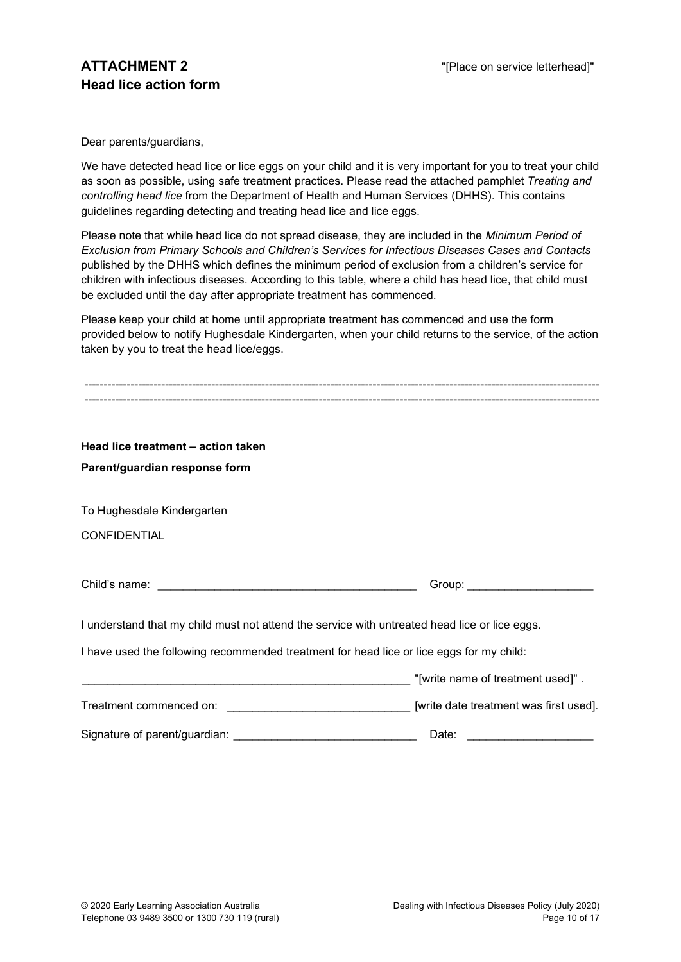Dear parents/guardians,

We have detected head lice or lice eggs on your child and it is very important for you to treat your child as soon as possible, using safe treatment practices. Please read the attached pamphlet Treating and controlling head lice from the Department of Health and Human Services (DHHS). This contains guidelines regarding detecting and treating head lice and lice eggs.

Please note that while head lice do not spread disease, they are included in the Minimum Period of Exclusion from Primary Schools and Children's Services for Infectious Diseases Cases and Contacts published by the DHHS which defines the minimum period of exclusion from a children's service for children with infectious diseases. According to this table, where a child has head lice, that child must be excluded until the day after appropriate treatment has commenced.

Please keep your child at home until appropriate treatment has commenced and use the form provided below to notify Hughesdale Kindergarten, when your child returns to the service, of the action taken by you to treat the head lice/eggs.

| Head lice treatment - action taken                                                            |                                                                                                                                                                                                                               |  |  |  |
|-----------------------------------------------------------------------------------------------|-------------------------------------------------------------------------------------------------------------------------------------------------------------------------------------------------------------------------------|--|--|--|
| Parent/guardian response form                                                                 |                                                                                                                                                                                                                               |  |  |  |
|                                                                                               |                                                                                                                                                                                                                               |  |  |  |
| To Hughesdale Kindergarten                                                                    |                                                                                                                                                                                                                               |  |  |  |
| <b>CONFIDENTIAL</b>                                                                           |                                                                                                                                                                                                                               |  |  |  |
|                                                                                               |                                                                                                                                                                                                                               |  |  |  |
|                                                                                               | Group: William Contract Contract Contract Contract Contract Contract Contract Contract Contract Contract Contract Contract Contract Contract Contract Contract Contract Contract Contract Contract Contract Contract Contract |  |  |  |
|                                                                                               |                                                                                                                                                                                                                               |  |  |  |
| I understand that my child must not attend the service with untreated head lice or lice eggs. |                                                                                                                                                                                                                               |  |  |  |
| I have used the following recommended treatment for head lice or lice eggs for my child:      |                                                                                                                                                                                                                               |  |  |  |
|                                                                                               | "[write name of treatment used]".                                                                                                                                                                                             |  |  |  |
|                                                                                               |                                                                                                                                                                                                                               |  |  |  |
| Signature of parent/guardian:                                                                 | Date:                                                                                                                                                                                                                         |  |  |  |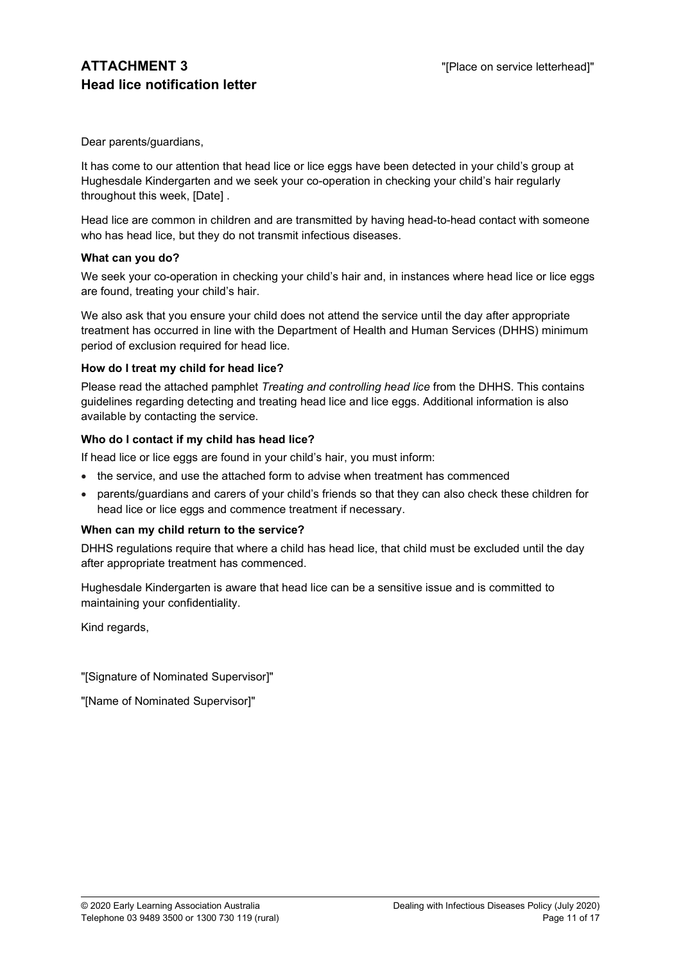Dear parents/guardians,

It has come to our attention that head lice or lice eggs have been detected in your child's group at Hughesdale Kindergarten and we seek your co-operation in checking your child's hair regularly throughout this week, [Date] .

Head lice are common in children and are transmitted by having head-to-head contact with someone who has head lice, but they do not transmit infectious diseases.

#### What can you do?

We seek your co-operation in checking your child's hair and, in instances where head lice or lice eggs are found, treating your child's hair.

We also ask that you ensure your child does not attend the service until the day after appropriate treatment has occurred in line with the Department of Health and Human Services (DHHS) minimum period of exclusion required for head lice.

#### How do I treat my child for head lice?

Please read the attached pamphlet Treating and controlling head lice from the DHHS. This contains guidelines regarding detecting and treating head lice and lice eggs. Additional information is also available by contacting the service.

#### Who do I contact if my child has head lice?

If head lice or lice eggs are found in your child's hair, you must inform:

- the service, and use the attached form to advise when treatment has commenced
- parents/guardians and carers of your child's friends so that they can also check these children for head lice or lice eggs and commence treatment if necessary.

#### When can my child return to the service?

DHHS regulations require that where a child has head lice, that child must be excluded until the day after appropriate treatment has commenced.

Hughesdale Kindergarten is aware that head lice can be a sensitive issue and is committed to maintaining your confidentiality.

Kind regards,

"[Signature of Nominated Supervisor]"

"[Name of Nominated Supervisor]"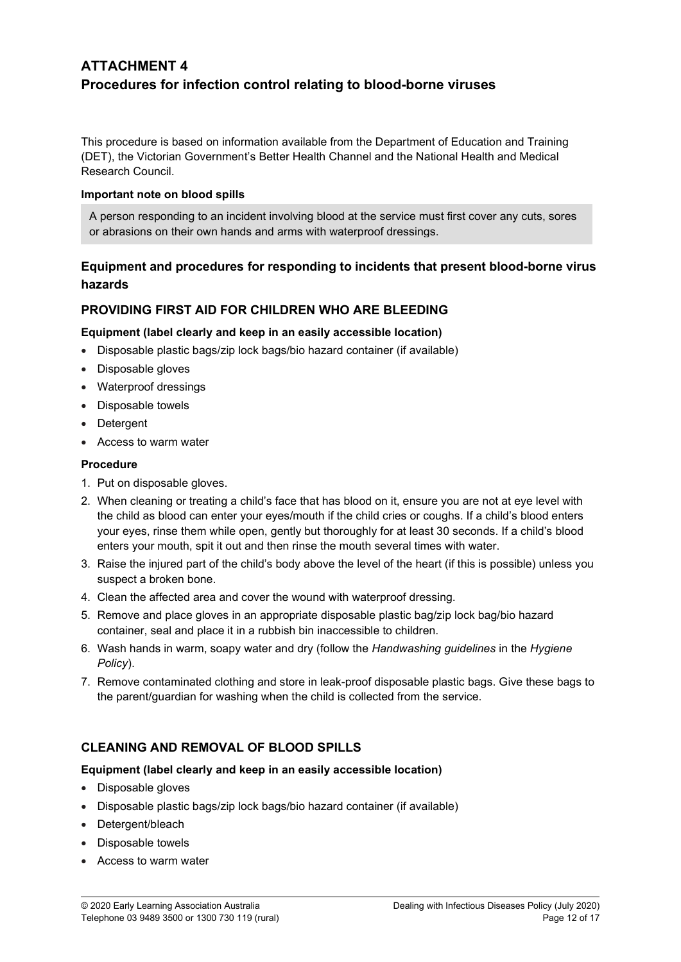## ATTACHMENT 4 Procedures for infection control relating to blood-borne viruses

This procedure is based on information available from the Department of Education and Training (DET), the Victorian Government's Better Health Channel and the National Health and Medical Research Council.

#### Important note on blood spills

A person responding to an incident involving blood at the service must first cover any cuts, sores or abrasions on their own hands and arms with waterproof dressings.

### Equipment and procedures for responding to incidents that present blood-borne virus hazards

### PROVIDING FIRST AID FOR CHILDREN WHO ARE BLEEDING

#### Equipment (label clearly and keep in an easily accessible location)

- Disposable plastic bags/zip lock bags/bio hazard container (if available)
- Disposable gloves
- Waterproof dressings
- Disposable towels
- Detergent
- Access to warm water

#### Procedure

- 1. Put on disposable gloves.
- 2. When cleaning or treating a child's face that has blood on it, ensure you are not at eye level with the child as blood can enter your eyes/mouth if the child cries or coughs. If a child's blood enters your eyes, rinse them while open, gently but thoroughly for at least 30 seconds. If a child's blood enters your mouth, spit it out and then rinse the mouth several times with water.
- 3. Raise the injured part of the child's body above the level of the heart (if this is possible) unless you suspect a broken bone.
- 4. Clean the affected area and cover the wound with waterproof dressing.
- 5. Remove and place gloves in an appropriate disposable plastic bag/zip lock bag/bio hazard container, seal and place it in a rubbish bin inaccessible to children.
- 6. Wash hands in warm, soapy water and dry (follow the Handwashing guidelines in the Hygiene Policy).
- 7. Remove contaminated clothing and store in leak-proof disposable plastic bags. Give these bags to the parent/guardian for washing when the child is collected from the service.

### CLEANING AND REMOVAL OF BLOOD SPILLS

#### Equipment (label clearly and keep in an easily accessible location)

- Disposable gloves
- Disposable plastic bags/zip lock bags/bio hazard container (if available)
- Detergent/bleach
- Disposable towels
- Access to warm water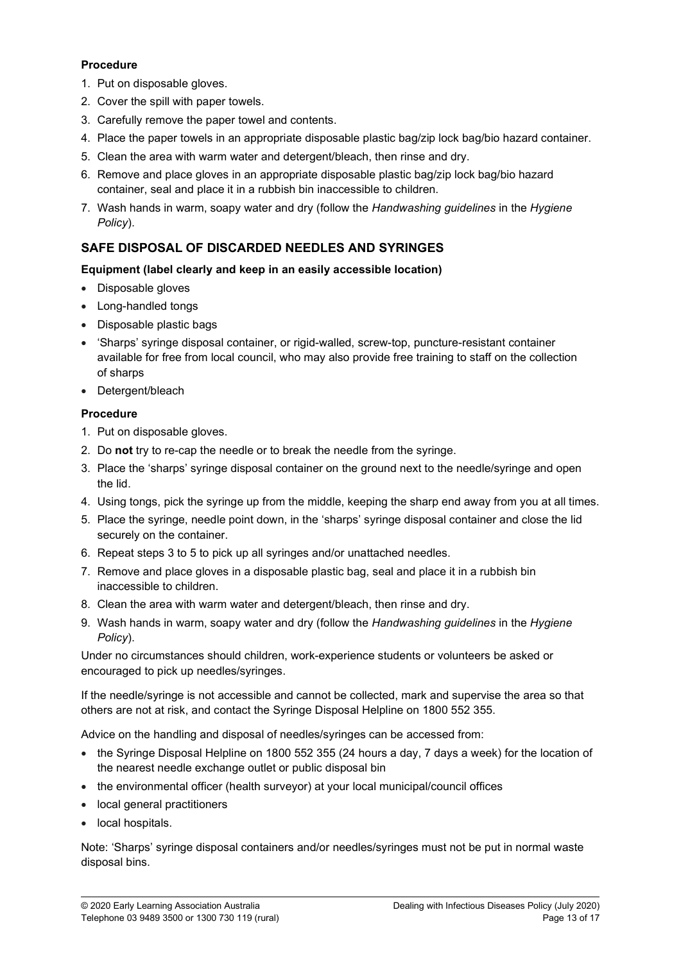#### Procedure

- 1. Put on disposable gloves.
- 2. Cover the spill with paper towels.
- 3. Carefully remove the paper towel and contents.
- 4. Place the paper towels in an appropriate disposable plastic bag/zip lock bag/bio hazard container.
- 5. Clean the area with warm water and detergent/bleach, then rinse and dry.
- 6. Remove and place gloves in an appropriate disposable plastic bag/zip lock bag/bio hazard container, seal and place it in a rubbish bin inaccessible to children.
- 7. Wash hands in warm, soapy water and dry (follow the Handwashing quidelines in the Hygiene Policy).

## SAFE DISPOSAL OF DISCARDED NEEDLES AND SYRINGES

#### Equipment (label clearly and keep in an easily accessible location)

- Disposable gloves
- Long-handled tongs
- Disposable plastic bags
- 'Sharps' syringe disposal container, or rigid-walled, screw-top, puncture-resistant container available for free from local council, who may also provide free training to staff on the collection of sharps
- Detergent/bleach

### Procedure

- 1. Put on disposable gloves.
- 2. Do not try to re-cap the needle or to break the needle from the syringe.
- 3. Place the 'sharps' syringe disposal container on the ground next to the needle/syringe and open the lid.
- 4. Using tongs, pick the syringe up from the middle, keeping the sharp end away from you at all times.
- 5. Place the syringe, needle point down, in the 'sharps' syringe disposal container and close the lid securely on the container.
- 6. Repeat steps 3 to 5 to pick up all syringes and/or unattached needles.
- 7. Remove and place gloves in a disposable plastic bag, seal and place it in a rubbish bin inaccessible to children.
- 8. Clean the area with warm water and detergent/bleach, then rinse and dry.
- 9. Wash hands in warm, soapy water and dry (follow the Handwashing guidelines in the Hygiene Policy).

Under no circumstances should children, work-experience students or volunteers be asked or encouraged to pick up needles/syringes.

If the needle/syringe is not accessible and cannot be collected, mark and supervise the area so that others are not at risk, and contact the Syringe Disposal Helpline on 1800 552 355.

Advice on the handling and disposal of needles/syringes can be accessed from:

- the Syringe Disposal Helpline on 1800 552 355 (24 hours a day, 7 days a week) for the location of the nearest needle exchange outlet or public disposal bin
- the environmental officer (health surveyor) at your local municipal/council offices
- local general practitioners
- local hospitals.

Note: 'Sharps' syringe disposal containers and/or needles/syringes must not be put in normal waste disposal bins.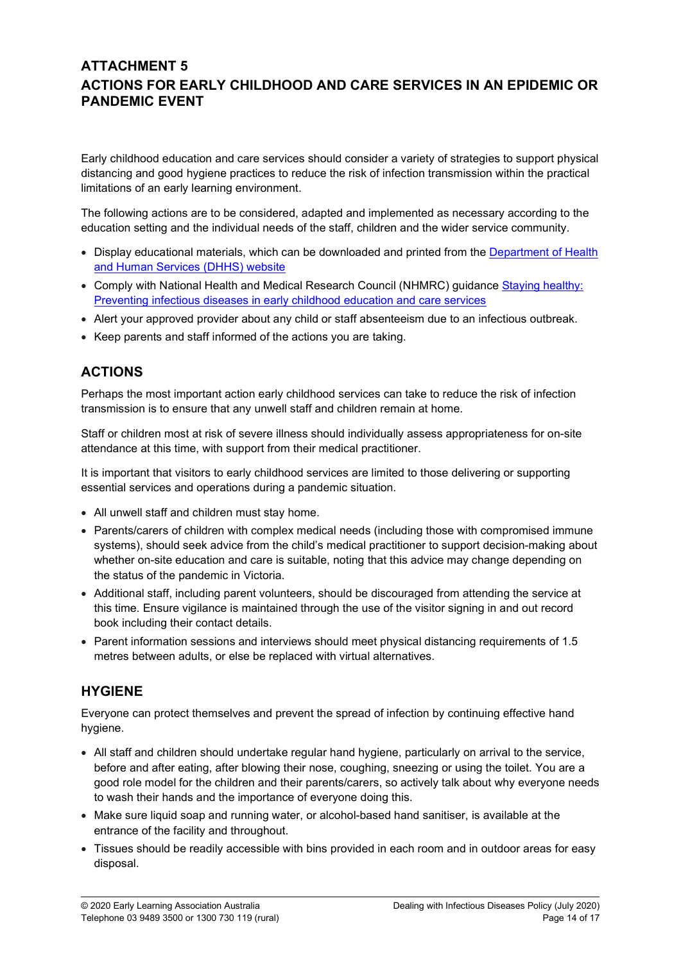## ATTACHMENT 5 ACTIONS FOR EARLY CHILDHOOD AND CARE SERVICES IN AN EPIDEMIC OR PANDEMIC EVENT

Early childhood education and care services should consider a variety of strategies to support physical distancing and good hygiene practices to reduce the risk of infection transmission within the practical limitations of an early learning environment.

The following actions are to be considered, adapted and implemented as necessary according to the education setting and the individual needs of the staff, children and the wider service community.

- Display educational materials, which can be downloaded and printed from the Department of Health and Human Services (DHHS) website
- Comply with National Health and Medical Research Council (NHMRC) guidance Staying healthy: Preventing infectious diseases in early childhood education and care services
- Alert your approved provider about any child or staff absenteeism due to an infectious outbreak.
- Keep parents and staff informed of the actions you are taking.

## ACTIONS

Perhaps the most important action early childhood services can take to reduce the risk of infection transmission is to ensure that any unwell staff and children remain at home.

Staff or children most at risk of severe illness should individually assess appropriateness for on-site attendance at this time, with support from their medical practitioner.

It is important that visitors to early childhood services are limited to those delivering or supporting essential services and operations during a pandemic situation.

- All unwell staff and children must stay home.
- Parents/carers of children with complex medical needs (including those with compromised immune systems), should seek advice from the child's medical practitioner to support decision-making about whether on-site education and care is suitable, noting that this advice may change depending on the status of the pandemic in Victoria.
- Additional staff, including parent volunteers, should be discouraged from attending the service at this time. Ensure vigilance is maintained through the use of the visitor signing in and out record book including their contact details.
- Parent information sessions and interviews should meet physical distancing requirements of 1.5 metres between adults, or else be replaced with virtual alternatives.

## HYGIENE

Everyone can protect themselves and prevent the spread of infection by continuing effective hand hygiene.

- All staff and children should undertake regular hand hygiene, particularly on arrival to the service, before and after eating, after blowing their nose, coughing, sneezing or using the toilet. You are a good role model for the children and their parents/carers, so actively talk about why everyone needs to wash their hands and the importance of everyone doing this.
- Make sure liquid soap and running water, or alcohol-based hand sanitiser, is available at the entrance of the facility and throughout.
- Tissues should be readily accessible with bins provided in each room and in outdoor areas for easy disposal.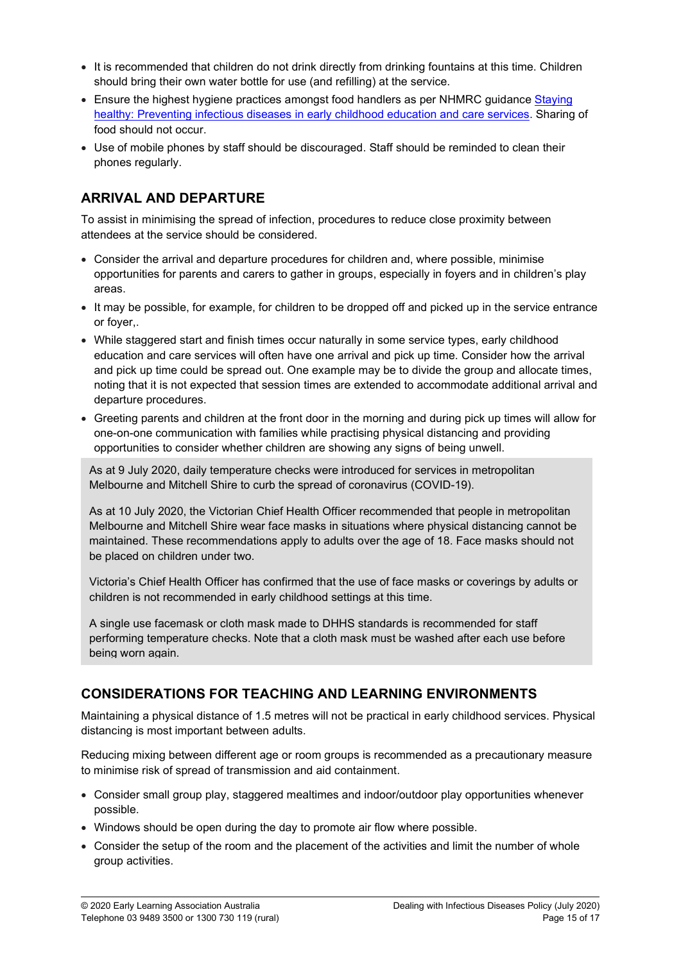- It is recommended that children do not drink directly from drinking fountains at this time. Children should bring their own water bottle for use (and refilling) at the service.
- **Ensure the highest hygiene practices amongst food handlers as per NHMRC guidance Staying** healthy: Preventing infectious diseases in early childhood education and care services. Sharing of food should not occur.
- Use of mobile phones by staff should be discouraged. Staff should be reminded to clean their phones regularly.

## ARRIVAL AND DEPARTURE

To assist in minimising the spread of infection, procedures to reduce close proximity between attendees at the service should be considered.

- Consider the arrival and departure procedures for children and, where possible, minimise opportunities for parents and carers to gather in groups, especially in foyers and in children's play areas.
- It may be possible, for example, for children to be dropped off and picked up in the service entrance or foyer,.
- While staggered start and finish times occur naturally in some service types, early childhood education and care services will often have one arrival and pick up time. Consider how the arrival and pick up time could be spread out. One example may be to divide the group and allocate times, noting that it is not expected that session times are extended to accommodate additional arrival and departure procedures.
- Greeting parents and children at the front door in the morning and during pick up times will allow for one-on-one communication with families while practising physical distancing and providing opportunities to consider whether children are showing any signs of being unwell.

As at 9 July 2020, daily temperature checks were introduced for services in metropolitan Melbourne and Mitchell Shire to curb the spread of coronavirus (COVID-19).

As at 10 July 2020, the Victorian Chief Health Officer recommended that people in metropolitan Melbourne and Mitchell Shire wear face masks in situations where physical distancing cannot be maintained. These recommendations apply to adults over the age of 18. Face masks should not be placed on children under two.

Victoria's Chief Health Officer has confirmed that the use of face masks or coverings by adults or children is not recommended in early childhood settings at this time.

A single use facemask or cloth mask made to DHHS standards is recommended for staff performing temperature checks. Note that a cloth mask must be washed after each use before being worn again.

## CONSIDERATIONS FOR TEACHING AND LEARNING ENVIRONMENTS

Maintaining a physical distance of 1.5 metres will not be practical in early childhood services. Physical distancing is most important between adults.

Reducing mixing between different age or room groups is recommended as a precautionary measure to minimise risk of spread of transmission and aid containment.

- Consider small group play, staggered mealtimes and indoor/outdoor play opportunities whenever possible.
- Windows should be open during the day to promote air flow where possible.
- Consider the setup of the room and the placement of the activities and limit the number of whole group activities.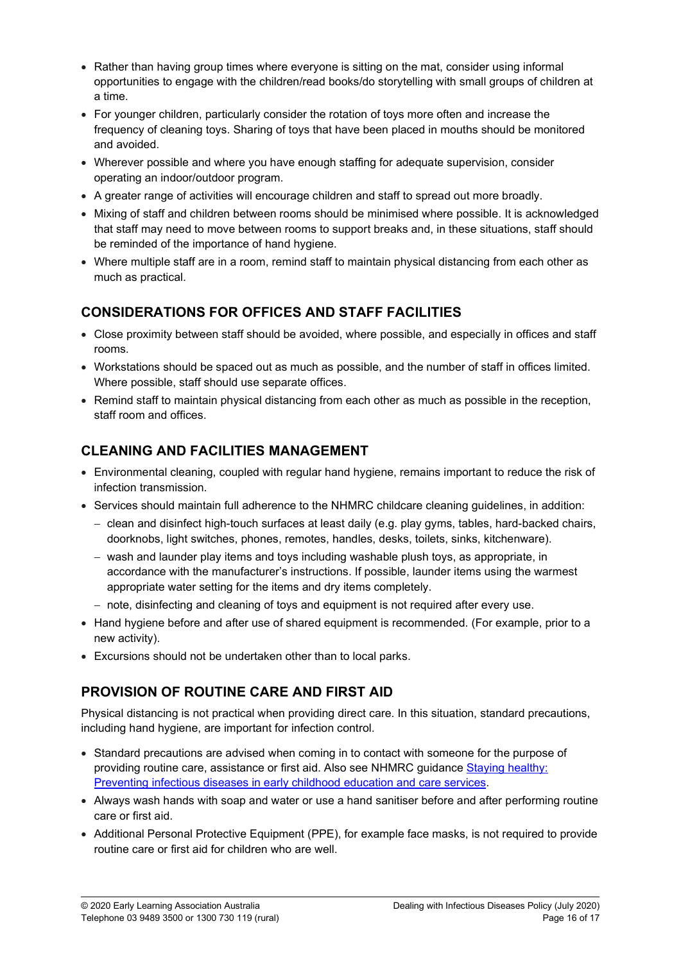- Rather than having group times where everyone is sitting on the mat, consider using informal opportunities to engage with the children/read books/do storytelling with small groups of children at a time.
- For younger children, particularly consider the rotation of toys more often and increase the frequency of cleaning toys. Sharing of toys that have been placed in mouths should be monitored and avoided.
- Wherever possible and where you have enough staffing for adequate supervision, consider operating an indoor/outdoor program.
- A greater range of activities will encourage children and staff to spread out more broadly.
- Mixing of staff and children between rooms should be minimised where possible. It is acknowledged that staff may need to move between rooms to support breaks and, in these situations, staff should be reminded of the importance of hand hygiene.
- Where multiple staff are in a room, remind staff to maintain physical distancing from each other as much as practical.

## CONSIDERATIONS FOR OFFICES AND STAFF FACILITIES

- Close proximity between staff should be avoided, where possible, and especially in offices and staff rooms.
- Workstations should be spaced out as much as possible, and the number of staff in offices limited. Where possible, staff should use separate offices.
- Remind staff to maintain physical distancing from each other as much as possible in the reception, staff room and offices.

# CLEANING AND FACILITIES MANAGEMENT

- Environmental cleaning, coupled with regular hand hygiene, remains important to reduce the risk of infection transmission.
- Services should maintain full adherence to the NHMRC childcare cleaning guidelines, in addition:
	- clean and disinfect high-touch surfaces at least daily (e.g. play gyms, tables, hard-backed chairs, doorknobs, light switches, phones, remotes, handles, desks, toilets, sinks, kitchenware).
	- $-$  wash and launder play items and toys including washable plush toys, as appropriate, in accordance with the manufacturer's instructions. If possible, launder items using the warmest appropriate water setting for the items and dry items completely.
	- note, disinfecting and cleaning of toys and equipment is not required after every use.
- Hand hygiene before and after use of shared equipment is recommended. (For example, prior to a new activity).
- Excursions should not be undertaken other than to local parks.

# PROVISION OF ROUTINE CARE AND FIRST AID

Physical distancing is not practical when providing direct care. In this situation, standard precautions, including hand hygiene, are important for infection control.

- Standard precautions are advised when coming in to contact with someone for the purpose of providing routine care, assistance or first aid. Also see NHMRC guidance Staying healthy: Preventing infectious diseases in early childhood education and care services.
- Always wash hands with soap and water or use a hand sanitiser before and after performing routine care or first aid.
- Additional Personal Protective Equipment (PPE), for example face masks, is not required to provide routine care or first aid for children who are well.